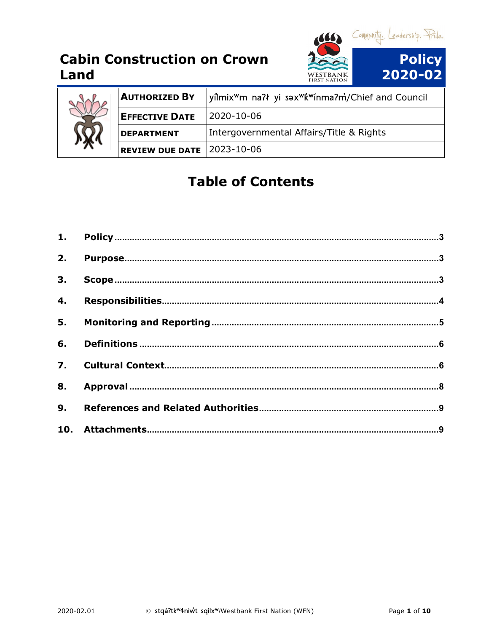



| 沦 | <b>AUTHORIZED BY</b>              | yîlmix <sup>w</sup> m na?ł yi sax <sup>w</sup> k <sup>w</sup> ínma?m/Chief and Council |
|---|-----------------------------------|----------------------------------------------------------------------------------------|
|   | <b>EFFECTIVE DATE</b>             | 2020-10-06                                                                             |
|   | <b>DEPARTMENT</b>                 | Intergovernmental Affairs/Title & Rights                                               |
|   | <b>REVIEW DUE DATE 2023-10-06</b> |                                                                                        |

# **Table of Contents**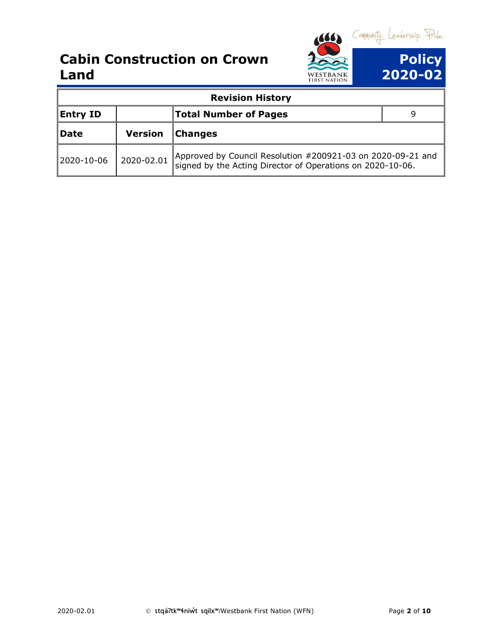

|                 |                | <b>Revision History</b>                                                                                                   |  |
|-----------------|----------------|---------------------------------------------------------------------------------------------------------------------------|--|
| <b>Entry ID</b> |                | <b>Total Number of Pages</b>                                                                                              |  |
| Date            | <b>Version</b> | <b>Changes</b>                                                                                                            |  |
| 2020-10-06      | 2020-02.01     | Approved by Council Resolution #200921-03 on 2020-09-21 and<br>signed by the Acting Director of Operations on 2020-10-06. |  |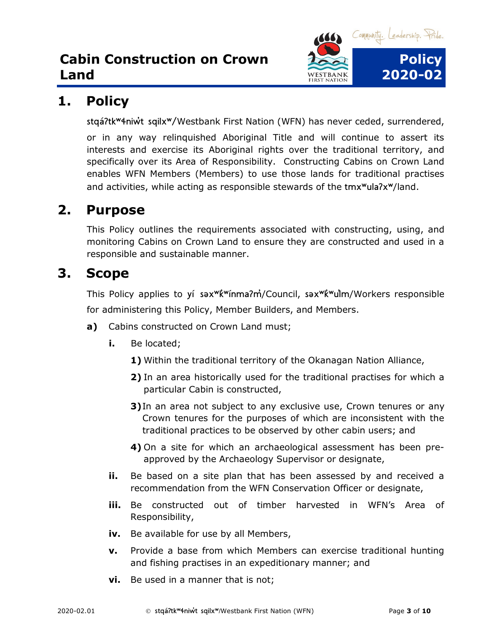

## <span id="page-2-0"></span>**1. Policy**

stqáʔtkʷɬniw̓t sqilxʷ/Westbank First Nation (WFN) has never ceded, surrendered,

or in any way relinquished Aboriginal Title and will continue to assert its interests and exercise its Aboriginal rights over the traditional territory, and specifically over its Area of Responsibility. Constructing Cabins on Crown Land enables WFN Members (Members) to use those lands for traditional practises and activities, while acting as responsible stewards of the tmx<sup>w</sup>ula<sub>7x</sub>w/land.

## <span id="page-2-1"></span>**2. Purpose**

This Policy outlines the requirements associated with constructing, using, and monitoring Cabins on Crown Land to ensure they are constructed and used in a responsible and sustainable manner.

#### <span id="page-2-2"></span>**3. Scope**

This Policy applies to yí sax<sup>wk'w</sup>ínma?m<sup>2</sup>/Council, sax<sup>wk'w</sup>ulm/Workers responsible for administering this Policy, Member Builders, and Members.

- **a)** Cabins constructed on Crown Land must;
	- **i.** Be located;
		- **1)** Within the traditional territory of the Okanagan Nation Alliance,
		- **2)** In an area historically used for the traditional practises for which a particular Cabin is constructed,
		- **3)** In an area not subject to any exclusive use, Crown tenures or any Crown tenures for the purposes of which are inconsistent with the traditional practices to be observed by other cabin users; and
		- **4)** On a site for which an archaeological assessment has been preapproved by the Archaeology Supervisor or designate,
	- **ii.** Be based on a site plan that has been assessed by and received a recommendation from the WFN Conservation Officer or designate,
	- **iii.** Be constructed out of timber harvested in WFN's Area of Responsibility,
	- **iv.** Be available for use by all Members,
	- **v.** Provide a base from which Members can exercise traditional hunting and fishing practises in an expeditionary manner; and
	- **vi.** Be used in a manner that is not;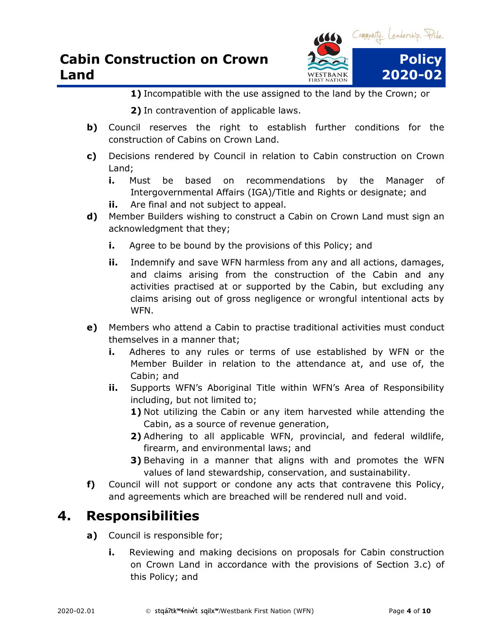

- **1)** Incompatible with the use assigned to the land by the Crown; or
- **2)** In contravention of applicable laws.
- **b)** Council reserves the right to establish further conditions for the construction of Cabins on Crown Land.
- **c)** Decisions rendered by Council in relation to Cabin construction on Crown Land;
	- **i.** Must be based on recommendations by the Manager of Intergovernmental Affairs (IGA)/Title and Rights or designate; and
	- **ii.** Are final and not subject to appeal.
- **d)** Member Builders wishing to construct a Cabin on Crown Land must sign an acknowledgment that they;
	- **i.** Agree to be bound by the provisions of this Policy; and
	- **ii.** Indemnify and save WFN harmless from any and all actions, damages, and claims arising from the construction of the Cabin and any activities practised at or supported by the Cabin, but excluding any claims arising out of gross negligence or wrongful intentional acts by WFN.
- **e)** Members who attend a Cabin to practise traditional activities must conduct themselves in a manner that;
	- **i.** Adheres to any rules or terms of use established by WFN or the Member Builder in relation to the attendance at, and use of, the Cabin; and
	- **ii.** Supports WFN's Aboriginal Title within WFN's Area of Responsibility including, but not limited to;
		- **1)** Not utilizing the Cabin or any item harvested while attending the Cabin, as a source of revenue generation,
		- **2)** Adhering to all applicable WFN, provincial, and federal wildlife, firearm, and environmental laws; and
		- **3)** Behaving in a manner that aligns with and promotes the WFN values of land stewardship, conservation, and sustainability.
- **f)** Council will not support or condone any acts that contravene this Policy, and agreements which are breached will be rendered null and void.

#### <span id="page-3-0"></span>**4. Responsibilities**

- **a)** Council is responsible for;
	- **i.** Reviewing and making decisions on proposals for Cabin construction on Crown Land in accordance with the provisions of Section 3.c) of this Policy; and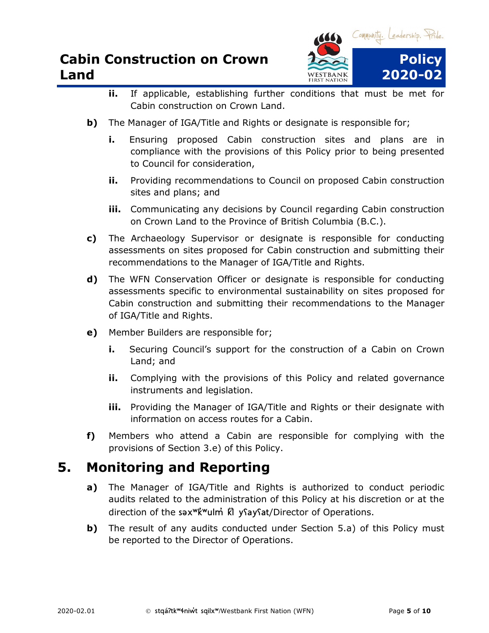

- **ii.** If applicable, establishing further conditions that must be met for Cabin construction on Crown Land.
- **b)** The Manager of IGA/Title and Rights or designate is responsible for;
	- **i.** Ensuring proposed Cabin construction sites and plans are in compliance with the provisions of this Policy prior to being presented to Council for consideration,
	- **ii.** Providing recommendations to Council on proposed Cabin construction sites and plans; and
	- **iii.** Communicating any decisions by Council regarding Cabin construction on Crown Land to the Province of British Columbia (B.C.).
- **c)** The Archaeology Supervisor or designate is responsible for conducting assessments on sites proposed for Cabin construction and submitting their recommendations to the Manager of IGA/Title and Rights.
- **d)** The WFN Conservation Officer or designate is responsible for conducting assessments specific to environmental sustainability on sites proposed for Cabin construction and submitting their recommendations to the Manager of IGA/Title and Rights.
- **e)** Member Builders are responsible for;
	- **i.** Securing Council's support for the construction of a Cabin on Crown Land; and
	- **ii.** Complying with the provisions of this Policy and related governance instruments and legislation.
	- **iii.** Providing the Manager of IGA/Title and Rights or their designate with information on access routes for a Cabin.
- **f)** Members who attend a Cabin are responsible for complying with the provisions of Section 3.e) of this Policy.

#### <span id="page-4-0"></span>**5. Monitoring and Reporting**

- **a)** The Manager of IGA/Title and Rights is authorized to conduct periodic audits related to the administration of this Policy at his discretion or at the direction of the sax<sup>wkw</sup>ulm<sup>'</sup> k'l ysaysat/Director of Operations.
- **b)** The result of any audits conducted under Section 5.a) of this Policy must be reported to the Director of Operations.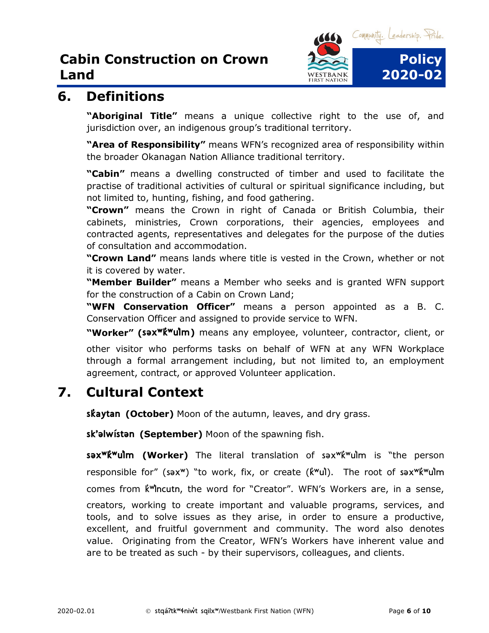

#### <span id="page-5-0"></span>**6. Definitions**

**"Aboriginal Title"** means a unique collective right to the use of, and jurisdiction over, an indigenous group's traditional territory.

**"Area of Responsibility"** means WFN's recognized area of responsibility within the broader Okanagan Nation Alliance traditional territory.

**"Cabin"** means a dwelling constructed of timber and used to facilitate the practise of traditional activities of cultural or spiritual significance including, but not limited to, hunting, fishing, and food gathering.

**"Crown"** means the Crown in right of Canada or British Columbia, their cabinets, ministries, Crown corporations, their agencies, employees and contracted agents, representatives and delegates for the purpose of the duties of consultation and accommodation.

**"Crown Land"** means lands where title is vested in the Crown, whether or not it is covered by water.

**"Member Builder"** means a Member who seeks and is granted WFN support for the construction of a Cabin on Crown Land;

**"WFN Conservation Officer"** means a person appointed as a B. C. Conservation Officer and assigned to provide service to WFN.

**"Worker" (səxʷk̓ʷul̓m)** means any employee, volunteer, contractor, client, or

other visitor who performs tasks on behalf of WFN at any WFN Workplace through a formal arrangement including, but not limited to, an employment agreement, contract, or approved Volunteer application.

# <span id="page-5-1"></span>**7. Cultural Context**

**sk̓aytan (October)** Moon of the autumn, leaves, and dry grass.

**sk'əlwístən (September)** Moon of the spawning fish.

**səxʷk̓ʷul̓m (Worker)** The literal translation of səxʷk̓ʷul̓m is "the person responsible for" (sax<sup>w</sup>) "to work, fix, or create (kvul). The root of sax "k "ulm comes from k Mncutn, the word for "Creator". WFN's Workers are, in a sense, creators, working to create important and valuable programs, services, and tools, and to solve issues as they arise, in order to ensure a productive, excellent, and fruitful government and community. The word also denotes value. Originating from the Creator, WFN's Workers have inherent value and are to be treated as such - by their supervisors, colleagues, and clients.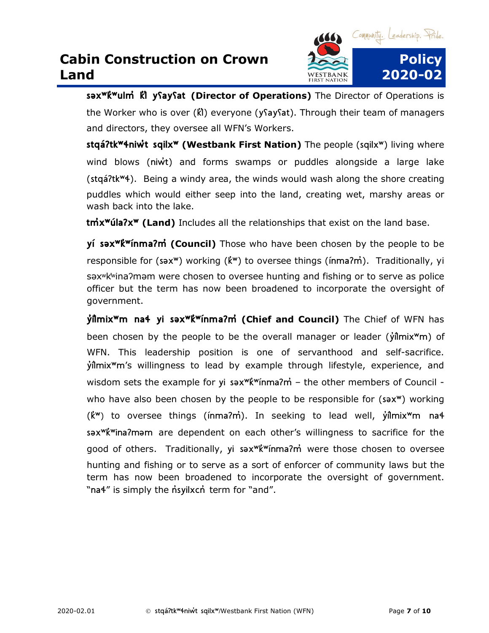

**səxʷk̓ʷulm̓ k̓l̓ yʕayʕat (Director of Operations)** The Director of Operations is the Worker who is over (k̓l̓) everyone (yʕayʕat). Through their team of managers and directors, they oversee all WFN's Workers.

**stqáʔtkʷɬniw̓t sqilxʷ (Westbank First Nation)** The people (sqilxʷ) living where wind blows (niw<sup>t</sup>) and forms swamps or puddles alongside a large lake (stqáʔtkʷɬ). Being a windy area, the winds would wash along the shore creating puddles which would either seep into the land, creating wet, marshy areas or wash back into the lake.

**tm̓xʷúlaʔxʷ (Land)** Includes all the relationships that exist on the land base.

**yí səxʷk̓ʷínmaʔm̓ (Council)** Those who have been chosen by the people to be responsible for (sax<sup>w</sup>) working (kv) to oversee things (inma?m<sup>\*</sup>). Traditionally, yi səxʷk̓ʷinaʔməm were chosen to oversee hunting and fishing or to serve as police officer but the term has now been broadened to incorporate the oversight of government.

**y̓il̓mixʷm naɬ yi səxʷk̓ʷínmaʔm̓ (Chief and Council)** The Chief of WFN has been chosen by the people to be the overall manager or leader ( $\hat{\mathsf{y}}$ *ilmix*<sup>w</sup>m) of WFN. This leadership position is one of servanthood and self-sacrifice. y̓il̓mixʷm's willingness to lead by example through lifestyle, experience, and wisdom sets the example for yi sax<sup>w</sup>k<sup>w</sup>ínma?m<sup>'</sup> – the other members of Council who have also been chosen by the people to be responsible for (sax<sup>w</sup>) working (k̓ʷ) to oversee things (ínmaʔm̓). In seeking to lead well, y̓il̓mixʷm naɬ səxʷk̓ʷinaʔməm are dependent on each other's willingness to sacrifice for the good of others. Traditionally, yi sax<sup>w</sup>k<sup>w</sup>ínma?m were those chosen to oversee hunting and fishing or to serve as a sort of enforcer of community laws but the term has now been broadened to incorporate the oversight of government. "na4" is simply the n'syilxcn term for "and".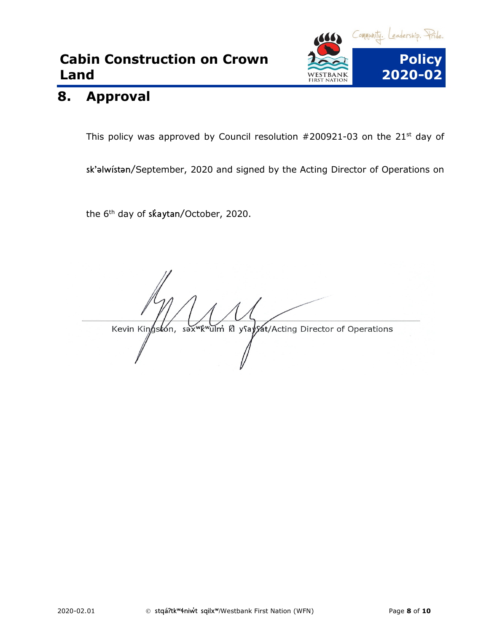

#### <span id="page-7-0"></span>**8. Approval**

This policy was approved by Council resolution  $#200921-03$  on the  $21<sup>st</sup>$  day of

sk'əlwístən/September, 2020 and signed by the Acting Director of Operations on

the 6<sup>th</sup> day of skaytan/October, 2020.

<sup>พ</sup>่k้<sup>พ</sup>น่ไท่ Kl yุโay่*y*at/Acting Director of Operations Kevin Kingstón,  $s \rightarrow x$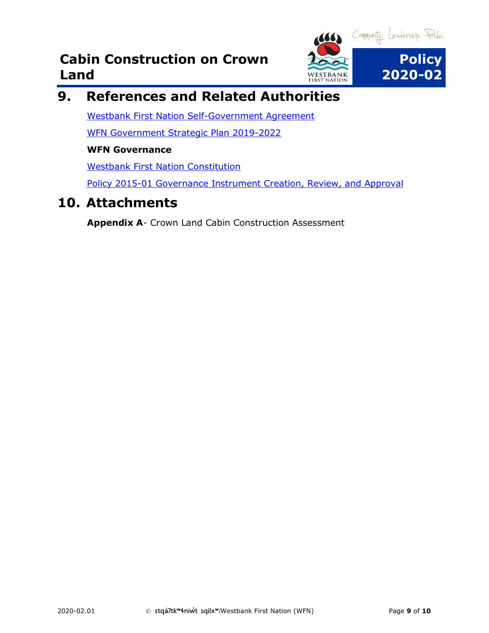

# <span id="page-8-0"></span>**9. References and Related Authorities**

[Westbank First Nation Self-Government Agreement](https://www.aadnc-aandc.gc.ca/eng/1100100031766/1100100031768) [WFN Government Strategic Plan 2019-2022](https://www.wfn.ca/docs/wfn_strat_plan19.pdf)

#### **WFN Governance**

[Westbank First Nation Constitution](https://www.wfn.ca/docs/wfn-constitution.pdf)

[Policy 2015-01 Governance Instrument Creation, Review, and Approval](file://wfnfox/public/GOVERNANCE%20INSTRUMENTS/EXECUTED%20GOVERNANCE%20INSTRUMENTS/Council%20Policies)

#### <span id="page-8-1"></span>**10. Attachments**

**Appendix A**- Crown Land Cabin Construction Assessment